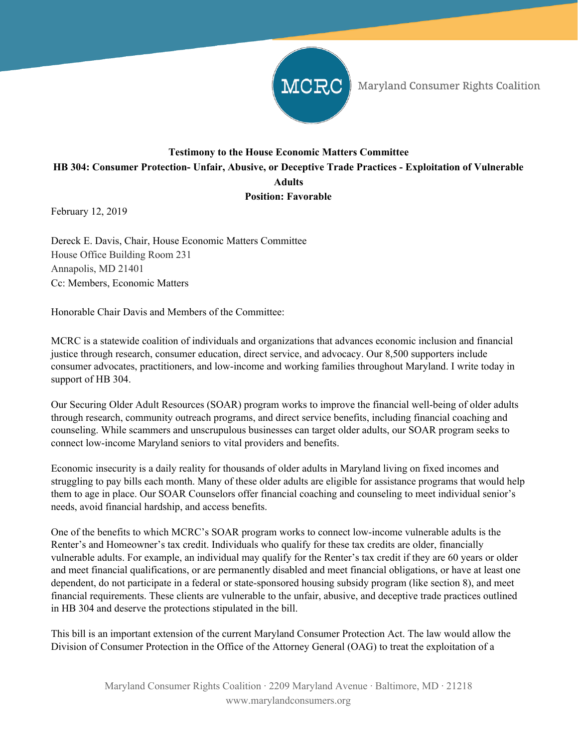

Maryland Consumer Rights Coalition

## **Testimony to the House Economic Matters Committee HB 304: Consumer Protection- Unfair, Abusive, or Deceptive Trade Practices - Exploitation of Vulnerable Adults Position: Favorable**

February 12, 2019

Dereck E. Davis, Chair, House Economic Matters Committee House Office Building Room 231 Annapolis, MD 21401 Cc: Members, Economic Matters

Honorable Chair Davis and Members of the Committee:

MCRC is a statewide coalition of individuals and organizations that advances economic inclusion and financial justice through research, consumer education, direct service, and advocacy. Our 8,500 supporters include consumer advocates, practitioners, and low-income and working families throughout Maryland. I write today in support of HB 304.

Our Securing Older Adult Resources (SOAR) program works to improve the financial well-being of older adults through research, community outreach programs, and direct service benefits, including financial coaching and counseling. While scammers and unscrupulous businesses can target older adults, our SOAR program seeks to connect low-income Maryland seniors to vital providers and benefits.

Economic insecurity is a daily reality for thousands of older adults in Maryland living on fixed incomes and struggling to pay bills each month. Many of these older adults are eligible for assistance programs that would help them to age in place. Our SOAR Counselors offer financial coaching and counseling to meet individual senior's needs, avoid financial hardship, and access benefits.

One of the benefits to which MCRC's SOAR program works to connect low-income vulnerable adults is the Renter's and Homeowner's tax credit. Individuals who qualify for these tax credits are older, financially vulnerable adults. For example, an individual may qualify for the Renter's tax credit if they are 60 years or older and meet financial qualifications, or are permanently disabled and meet financial obligations, or have at least one dependent, do not participate in a federal or state-sponsored housing subsidy program (like section 8), and meet financial requirements. These clients are vulnerable to the unfair, abusive, and deceptive trade practices outlined in HB 304 and deserve the protections stipulated in the bill.

This bill is an important extension of the current Maryland Consumer Protection Act. The law would allow the Division of Consumer Protection in the Office of the Attorney General (OAG) to treat the exploitation of a